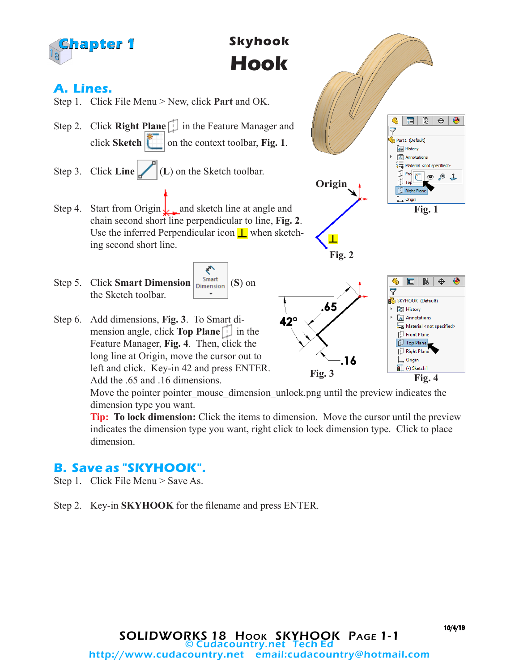

Move the pointer pointer mouse dimension unlock.png until the preview indicates the dimension type you want.

**Tip: To lock dimension:** Click the items to dimension. Move the cursor until the preview indicates the dimension type you want, right click to lock dimension type. Click to place dimension.

#### **B. Save as "SKYHOOK".**

- Step 1. Click File Menu > Save As.
- Step 2. Key-in **SKYHOOK** for the filename and press ENTER.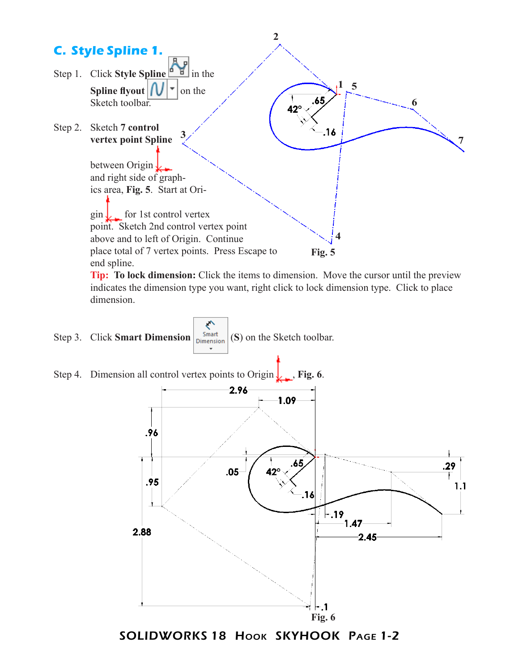

SOLIDWORKS 18 Hook SKYHOOK Page 1-2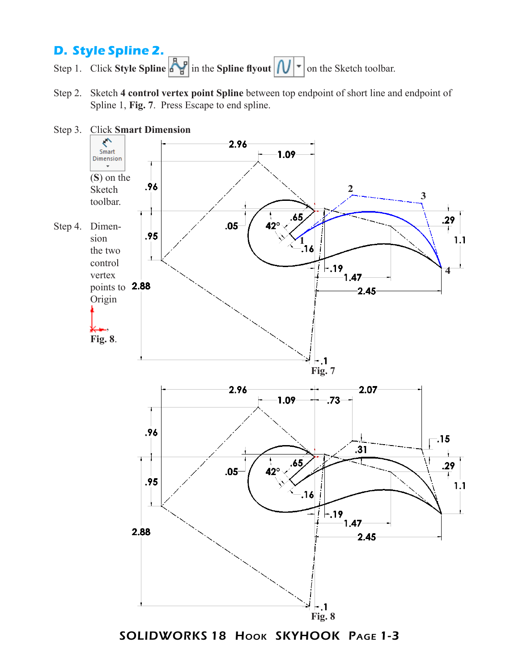## **D. Style Spline 2.**

Step 1. Click **Style Spline**  $\left|\frac{A}{B}\right|$  in the **Spline flyout**  $\left| \left| \bigcup \right| \right|$  on the Sketch toolbar.

Step 2. Sketch **4 control vertex point Spline** between top endpoint of short line and endpoint of Spline 1, **Fig. 7**. Press Escape to end spline.



SOLIDWORKS 18 Hook SKYHOOK PAGE 1-3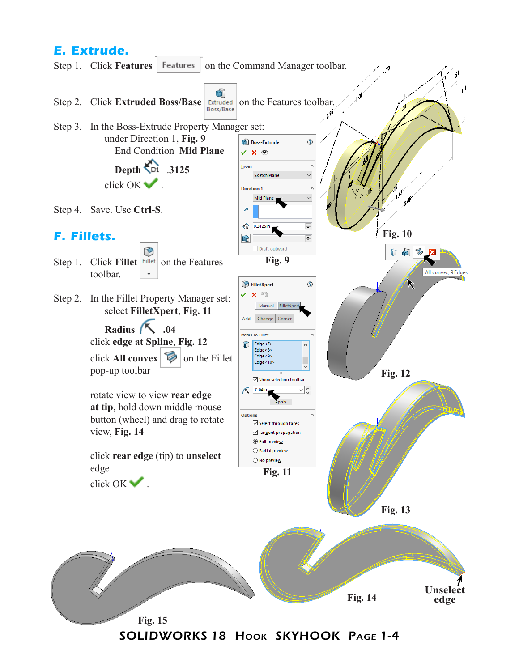# **E. Extrude.**

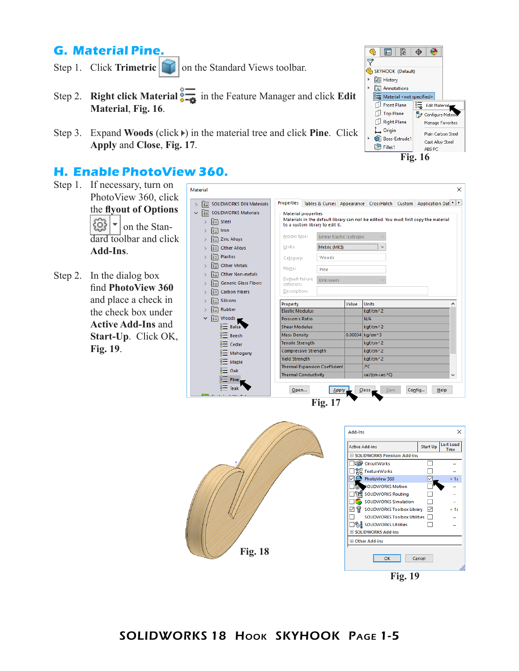### **G. Material Pine.**

- Step 1. Click **Trimetric on** the Standard Views toolbar.
- Step 2. **Right click Material**  $\frac{1}{2}$  in the Feature Manager and click **Edit Material**, **Fig. 16**.
- Step 3. Expand **Woods** (click ) in the material tree and click **Pine**. Click **Apply** and **Close**, **Fig. 17**.

Material

#### **H. Enable PhotoView 360.**

- Step 1. If necessary, turn on PhotoView 360, click the **flyout of Options** ନେ  $\frac{1}{2}$  on the Standard toolbar and click **Add-Ins**.
- Step 2. In the dialog box find **PhotoView 360** and place a check in the check box under **Active Add-Ins** and **Start-Up**. Click OK, **Fig. 19**.





 $\times$